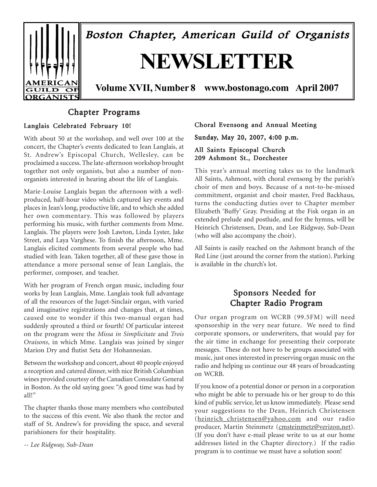

# Chapter Programs

## Langlais Celebrated February 10!

With about 50 at the workshop, and well over 100 at the concert, the Chapter's events dedicated to Jean Langlais, at St. Andrewís Episcopal Church, Wellesley, can be proclaimed a success. The late-afternoon workshop brought together not only organists, but also a number of nonorganists interested in hearing about the life of Langlais.

Marie-Louise Langlais began the afternoon with a wellproduced, half-hour video which captured key events and places in Jeanís long, productive life, and to which she added her own commentary. This was followed by players performing his music, with further comments from Mme. Langlais. The players were Josh Lawton, Linda Lyster, Jake Street, and Laya Varghese. To finish the afternoon, Mme. Langlais elicited comments from several people who had studied with Jean. Taken together, all of these gave those in attendance a more personal sense of Jean Langlais, the performer, composer, and teacher.

With her program of French organ music, including four works by Jean Langlais, Mme. Langlais took full advantage of all the resources of the Juget-Sinclair organ, with varied and imaginative registrations and changes that, at times, caused one to wonder if this two-manual organ had suddenly sprouted a third or fourth! Of particular interest on the program were the *Missa in Simplicitate* and *Trois Oraisons*, in which Mme. Langlais was joined by singer Marion Dry and flutist Seta der Hohannesian.

Between the workshop and concert, about 40 people enjoyed a reception and catered dinner, with nice British Columbian wines provided courtesy of the Canadian Consulate General in Boston. As the old saying goes: "A good time was had by all!"

The chapter thanks those many members who contributed to the success of this event. We also thank the rector and staff of St. Andrew's for providing the space, and several parishioners for their hospitality.

*-- Lee Ridgway, Sub-Dean*

## Choral Evensong and Annual Meeting

Sunday, May 20, 2007, 4:00 p.m.

## All Saints Episcopal Church 209 Ashmont St., Dorchester

This year's annual meeting takes us to the landmark All Saints, Ashmont, with choral evensong by the parish's choir of men and boys. Because of a not-to-be-missed commitment, organist and choir master, Fred Backhaus, turns the conducting duties over to Chapter member Elizabeth ëBuffyí Gray. Presiding at the Fisk organ in an extended prelude and postlude, and for the hymns, will be Heinrich Christensen, Dean, and Lee Ridgway, Sub-Dean (who will also accompany the choir).

All Saints is easily reached on the Ashmont branch of the Red Line (just around the corner from the station). Parking is available in the church's lot.

# Sponsors Needed for Chapter Radio Program

Our organ program on WCRB (99.5FM) will need sponsorship in the very near future. We need to find corporate sponsors, or underwriters, that would pay for the air time in exchange for presenting their corporate messages. These do not have to be groups associated with music, just ones interested in preserving organ music on the radio and helping us continue our 48 years of broadcasting on WCRB.

If you know of a potential donor or person in a corporation who might be able to persuade his or her group to do this kind of public service, let us know immediately. Please send your suggestions to the Dean, Heinrich Christensen (heinrich\_christensen@yahoo.com and our radio producer, Martin Steinmetz (cmsteinmetz@verizon.net). (If you don't have e-mail please write to us at our home addresses listed in the Chapter directory.) If the radio program is to continue we must have a solution soon!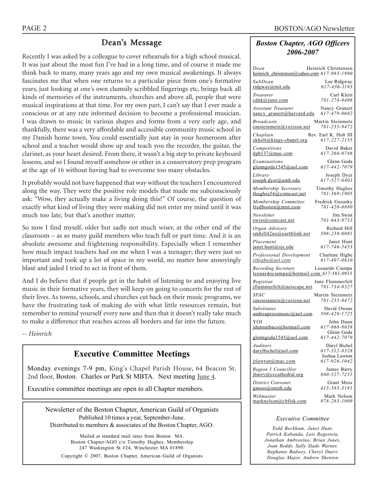# Dean's Message

Recently I was asked by a colleague to cover rehearsals for a high school musical. It was just about the most fun I've had in a long time, and of course it made me think back to many, many years ago and my own musical awakenings. It always fascinates me that when one returns to a particular piece from one's formative years, just looking at one's own clumsily scribbled fingerings etc, brings back all kinds of memories of the instruments, churches and above all, people that were musical inspirations at that time. For my own part, I can't say that I ever made a conscious or at any rate informed decision to become a professional musician. I was drawn to music in various shapes and forms from a very early age, and thankfully, there was a very affordable and accessible community music school in my Danish home town. You could essentially just stay in your homeroom after school and a teacher would show up and teach you the recorder, the guitar, the clarinet, as your heart desired. From there, it wasn't a big step to private keyboard lessons, and so I found myself somehow or other in a conservatory prep program at the age of 16 without having had to overcome too many obstacles.

It probably would not have happened that way without the teachers I encountered along the way. They were the positive role models that made me subconsciously ask: "Wow, they actually make a living doing this?" Of course, the question of exactly what kind of living they were making did not enter my mind until it was much too late, but that's another matter.

So now I find myself, older but sadly not much wiser, at the other end of the  $classroom - as so many guide members who teach full or part time. And it is an$ absolute awesome and frightening responsibility. Especially when I remember how much impact teachers had on me when I was a teenager; they were just so important and took up a lot of space in my world, no matter how annoyingly blasé and jaded I tried to act in front of them.

And I do believe that if people get in the habit of listening to and enjoying live music in their formative years, they will keep on going to concerts for the rest of their lives. As towns, schools, and churches cut back on their music programs, we have the frustrating task of making do with what little resources remain, but remember to remind yourself every now and then that it doesn't really take much to make a difference that reaches across all borders and far into the future.

*-- Heinrich*

# **Executive Committee Meetings**

Monday evenings 7-9 pm, King's Chapel Parish House, 64 Beacon St. 2nd floor, Boston. Charles or Park St MBTA. Next meeting June 4.

Executive committee meetings are open to all Chapter members.

Newsletter of the Boston Chapter, American Guild of Organists Published 10 times a year, September-June. Distributed to members & associates of the Boston Chapter, AGO.

Mailed at standard mail rates from Boston MA. Boston Chapter/AGO c/o Timothy Hughes, Membership 247 Washington St #24, Winchester MA 01890. Copyright © 2007, Boston Chapter, American Guild of Organists

## *Boston Chapter, AGO Officers 2006-2007*

| Dean<br>heinrich_christensen@yahoo.com 617-983-1990            | Heinrich Christensen                  |
|----------------------------------------------------------------|---------------------------------------|
| SubDean<br>ridgway@mit.edu                                     | Lee Ridgway<br>617-436-1193           |
| Treasurer<br>cdnk@juno.com                                     | Carl Klein<br>781-274-8406            |
| <b>Assistant Treasurer</b><br>nancy granert@harvard.edu        | Nancy Granert<br>617-479-0682         |
| <b>Broadcasts</b><br>cmsteinmetz@verizon.net                   | Martin Steinmetz<br>781-235-9472      |
| Chaplain<br>ekholt@kings-chapel.org                            | Rev. Earl K. Holt III<br>617-227-2155 |
| Competitions<br>dgb137@mac.com                                 | David Baker<br>617-266-0746           |
| Examinations<br>glenngoda1545@aol.com                          | Glenn Goda<br>617-442-7079            |
| Library<br>joseph.dyer@umb.edu                                 | Joseph Dyer<br>617-527-6403           |
| Membership Secretary<br>thughes $56@$ comcast.net              | Timothy Hughes<br>781-369-1905        |
| Membership Committee<br>fredboston@msn.com                     | Fredrick Guzasky<br>781-420-6880      |
| Newsletter<br>swist@comcast.net                                | Jim Swist<br>781-643-9733             |
| Organ Advisory<br>smhill42ne@earthlink.net                     | Richard Hill<br>508-238-6081          |
| Placement<br>janet.hunt@sjs.edu                                | Janet Hunt<br>617-746-5433            |
| Professional Development<br>$\text{cthigbe}(a)$ aol.com        | Charlene Higbe<br>617-497-0610        |
| Recording Secretary<br>leonardociampa@hotmail.com_617-561-0913 | Leonardo Ciampa                       |
| Registrar<br>jflummerfelt@netscape.net                         | Jane Flummerfelt<br>781-734-0327      |
| <i>SPAC</i><br>emsteinmetz@verizon.net                         | Martin Steinmetz<br>781-235-9472      |
| Substitutes<br>andreapressmusic@aol.com                        | David Owens<br>508-429-1725           |
| YOI<br>jdunnatbacs@hotmail.com                                 | John Dunn<br>617-868-8658             |
| glenngoda1545@aol.com                                          | Glenn Goda<br>617-442-7079            |
| Auditors<br>darylbichel@aol.com                                | Daryl Bichel<br>617-312-8328          |
| itlawton@mac.com                                               | Joshua Lawton<br>617-926-1042         |
| Region I Councillor<br>jbarry@cccathedral.org                  | James Barry<br>860-527-7231           |
| District Convener<br>gmoss@smith.edu                           | Grant Moss<br>413-585-3181            |
| Webmaster<br>marknelson@cbfisk.com                             | Mark Nelson<br>978-283-1909           |

### *Executive Committee*

*Todd Beckham, Janet Hunt, Patrick Kabanda, Lois Regestein, Jonathan Ambrosino, Brian Jones, Joan Reddy, Sally Slade Warner, Stephanie Budwey, Cheryl Duerr, Douglas Major, Andrew Shenton*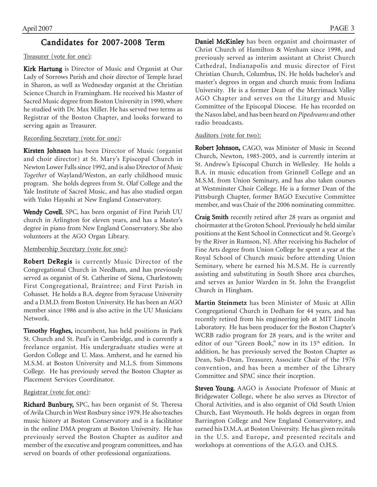# Candidates for 2007-2008 Term

## Treasurer (vote for one):

Kirk Hartung is Director of Music and Organist at Our Lady of Sorrows Parish and choir director of Temple Israel in Sharon, as well as Wednesday organist at the Christian Science Church in Framingham. He received his Master of Sacred Music degree from Boston University in 1990, where he studied with Dr. Max Miller. He has served two terms as Registrar of the Boston Chapter, and looks forward to serving again as Treasurer.

## Recording Secretary (vote for one):

Kirsten Johnson has been Director of Music (organist and choir director) at St. Mary's Episcopal Church in Newton Lower Falls since 1992, and is also Director of *Music Together* of Wayland/Weston, an early childhood music program. She holds degrees from St. Olaf College and the Yale Institute of Sacred Music, and has also studied organ with Yuko Hayashi at New England Conservatory.

Wendy Covell, SPC, has been organist of First Parish UU church in Arlington for eleven years, and has a Master's degree in piano from New England Conservatory. She also volunteers at the AGO Organ Library.

## Membership Secretary (vote for one):

Robert DeRegis is currently Music Director of the Congregational Church in Needham, and has previously served as organist of St. Catherine of Siena, Charlestown; First Congregational, Braintree; and First Parish in Cohasset. He holds a B.A. degree from Syracuse University and a D.M.D. from Boston University. He has been an AGO member since 1986 and is also active in the UU Musicians Network.

Timothy Hughes, incumbent, has held positions in Park St. Church and St. Paul's in Cambridge, and is currently a freelance organist. His undergraduate studies were at Gordon College and U. Mass. Amherst, and he earned his M.S.M. at Boston University and M.L.S. from Simmons College. He has previously served the Boston Chapter as Placement Services Coordinator.

## Registrar (vote for one):

Richard Bunbury, SPC, has been organist of St. Theresa of Avila Church in West Roxbury since 1979. He also teaches music history at Boston Conservatory and is a facilitator in the online DMA program at Boston University. He has previously served the Boston Chapter as auditor and member of the executive and program committees, and has served on boards of other professional organizations.

Daniel McKinley has been organist and choirmaster of Christ Church of Hamilton & Wenham since 1998, and previously served as interim assistant at Christ Church Cathedral, Indianapolis and music director of First Christian Church, Columbus, IN. He holds bachelor's and master's degrees in organ and church music from Indiana University. He is a former Dean of the Merrimack Valley AGO Chapter and serves on the Liturgy and Music Committee of the Episcopal Diocese. He has recorded on the Naxos label, and has been heard on *Pipedreams* and other radio broadcasts.

## Auditors (vote for two):

Robert Johnson, CAGO, was Minister of Music in Second Church, Newton, 1985-2005, and is currently interim at St. Andrewís Episcopal Church in Wellesley. He holds a B.A. in music education from Grinnell College and an M.S.M. from Union Seminary, and has also taken courses at Westminster Choir College. He is a former Dean of the Pittsburgh Chapter, former BAGO Executive Committee member, and was Chair of the 2006 nominating committee.

Craig Smith recently retired after 28 years as organist and choirmaster at the Groton School. Previously he held similar positions at the Kent School in Connecticut and St. George's by the River in Rumson, NJ. After receiving his Bachelor of Fine Arts degree from Union College he spent a year at the Royal School of Church music before attending Union Seminary, where he earned his M.S.M. He is currently assisting and substituting in South Shore area churches, and serves as Junior Warden in St. John the Evangelist Church in Hingham.

Martin Steinmetz has been Minister of Music at Allin Congregational Church in Dedham for 44 years, and has recently retired from his engineering job at MIT Lincoln Laboratory. He has been producer for the Boston Chapter's WCRB radio program for 28 years, and is the writer and editor of our "Green Book," now in its 15<sup>th</sup> edition. In addition, he has previously served the Boston Chapter as Dean, Sub-Dean, Treasurer, Associate Chair of the 1976 convention, and has been a member of the Library Committee and SPAC since their inception.

Steven Young, AAGO is Associate Professor of Music at Bridgewater College, where he also serves as Director of Choral Activities, and is also organist of Old South Union Church, East Weymouth. He holds degrees in organ from Barrington College and New England Conservatory, and earned his D.M.A. at Boston University. He has given recitals in the U.S. and Europe, and presented recitals and workshops at conventions of the A.G.O. and O.H.S.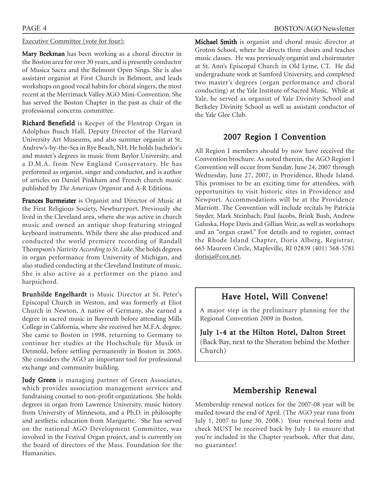## Executive Committee (vote for four):

Mary Beekman has been working as a choral director in the Boston area for over 30 years, and is presently conductor of Musica Sacra and the Belmont Open Sings. She is also assistant organist at First Church in Belmont, and leads workshops on good vocal habits for choral singers, the most recent at the Merrimack Valley AGO Mini-Convention. She has served the Boston Chapter in the past as chair of the professional concerns committee.

Richard Benefield is Keeper of the Flentrop Organ in Adolphus Busch Hall, Deputy Director of the Harvard University Art Museums, and also summer organist at St. Andrew's-by-the-Sea in Rye Beach, NH. He holds bachelor's and master's degrees in music from Baylor University, and a D.M.A. from New England Conservatory. He has performed as organist, singer and conductor, and is author of articles on Daniel Pinkham and French church music published by *The American Organist* and A-R Editions.

Frances Burmeister is Organist and Director of Music at the First Religious Society, Newburyport. Previously she lived in the Cleveland area, where she was active in church music and owned an antique shop featuring stringed keyboard instruments. While there she also produced and conducted the world premiere recording of Randall Thompsonís *Nativity According to St. Luke*. She holds degrees in organ performance from University of Michigan, and also studied conducting at the Cleveland Institute of music. She is also active as a performer on the piano and harpsichord.

Brunhilde Engelhardt is Music Director at St. Peter's Episcopal Church in Weston, and was formerly at Eliot Church in Newton. A native of Germany, she earned a degree in sacred music in Bayreuth before attending Mills College in California, where she received her M.F.A. degree. She came to Boston in 1998, returning to Germany to continue her studies at the Hochschule für Musik in Detmold, before settling permanently in Boston in 2003. She considers the AGO an important tool for professional exchange and community building.

Judy Green is managing partner of Green Associates, which provides association management services and fundraising counsel to non-profit organizations. She holds degrees in organ from Lawrence University, music history from University of Minnesota, and a Ph.D. in philosophy and aesthetic education from Marquette. She has served on the national AGO Development Committee, was involved in the Festival Organ project, and is currently on the board of directors of the Mass. Foundation for the Humanities.

Michael Smith is organist and choral music director at Groton School, where he directs three choirs and teaches music classes. He was previously organist and choirmaster at St. Annís Episcopal Church in Old Lyme, CT. He did undergraduate work at Samford University, and completed two master's degrees (organ performance and choral conducting) at the Yale Institute of Sacred Music. While at Yale, he served as organist of Yale Divinity School and Berkeley Divinity School as well as assistant conductor of the Yale Glee Club.

# 2007 Region I Convention

All Region I members should by now have received the Convention brochure. As noted therein, the AGO Region I Convention will occur from Sunday, June 24, 2007 through Wednesday, June 27, 2007, in Providence, Rhode Island. This promises to be an exciting time for attendees, with opportunities to visit historic sites in Providence and Newport. Accommodations will be at the Providence Marriott. The Convention will include recitals by Patricia Snyder, Mark Steinbach, Paul Jacobs, Brink Bush, Andrew Galuska, Hope Davis and Gillian Weir, as well as workshops and an "organ crawl." For details and to register, contact the Rhode Island Chapter, Doris Alberg, Registrar, 665 Maureen Circle, Mapleville, RI 02839 (401) 568-5781 dorisja@cox.net.

# Have Hotel, Will Convene!

A major step in the preliminary planning for the Regional Convention 2009 in Boston.

July 1-4 at the Hilton Hotel, Dalton Street (Back Bay, next to the Sheraton behind the Mother Church)

# Membership Renewal

Membership renewal notices for the 2007-08 year will be mailed toward the end of April. (The AGO year runs from July 1, 2007 to June 30, 2008.) Your renewal form and check MUST be received back by July 1 to ensure that you're included in the Chapter yearbook. After that date, no guarantee!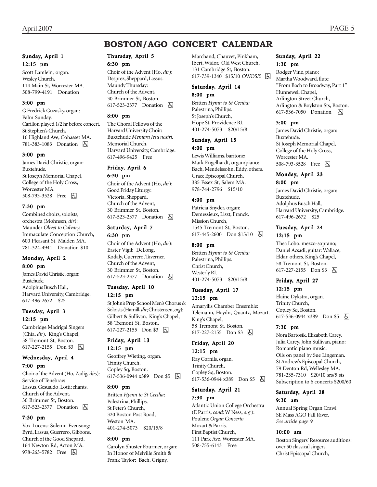# **BOSTON/AGO CONCERT CALENDAR**

### Sunday, April 1 12:15 pm

Scott Lamlein, organ. Wesley Church, 114 Main St, Worcester MA. 508-799-4191 Donation

### 3:00 pm

G Fredrick Guzasky, organ: Palm Sunday. Carillon played 1/2 hr before concert. St Stephen's Church, 16 Highland Ave, Cohasset MA. 781-383-1083 Donation **b** 

#### 3:00 pm

James David Christie, organ: Buxtehude. St Joseph Memorial Chapel, College of the Holy Cross, Worcester MA. 508-793-3528 Free **b** 

### 7:30 pm

Combined choirs, soloists, orchestra (Mohnsen, *dir*): Maunder *Olivet to Calvary.* Immaculate Conception Church, 600 Pleasant St, Malden MA. 781-324-4941 Donation \$10

### Monday, April 2 8:00 pm

James David Christie, organ: Buxtehude. Adolphus Busch Hall, Harvard University, Cambridge. 617-496-2672 \$25

## Tuesday, April 3 12:15 pm

Cambridge Madrigal Singers (Chia, *dir*). King's Chapel, 58 Tremont St, Boston. 617-227-2155 Don \$3 因

# Wednesday, April 4

## 7:00 pm

Choir of the Advent (Ho, Zadig, *dirs*): Service of Tenebrae: Lassus, Gesualdo, Lotti; chants. Church of the Advent, 30 Brimmer St, Boston. 617-523-2377 Donation 因

### 7:30 pm

Vox Lucens: Solemn Evensong: Byrd, Lassus, Guerrero, Gibbons. Church of the Good Shepard, 164 Newton Rd, Acton MA. 978-263-5782 Free 因

## Thursday, April 5

## 6:30 pm

Choir of the Advent (Ho, *dir*): Desprez, Sheppard, Lassus. Maundy Thursday: Church of the Advent, 30 Brimmer St, Boston. 617-523-2377 Donation **b** 

### 8:00 pm

The Choral Fellows of the Harvard University Choir: Buxtehude *Membra Jesu nostri.* Memorial Church, Harvard University, Cambridge. 617-496-9425 Free

## Friday, April 6

6:30 pm

Choir of the Advent (Ho, *dir*): Good Friday Liturgy: Victoria, Sheppard. Church of the Advent, 30 Brimmer St, Boston. 617-523-2377 Donation  $\boxed{6}$ 

### Saturday, April 7 6:30 pm

Choir of the Advent (Ho, *dir*): Easter Vigil: DeLong, Kodaly, Guerrero, Taverner. Church of the Advent, 30 Brimmer St, Boston. 617-523-2377 Donation **b** 

### Tuesday, April 10 12:15 pm

St Johnís Prep School Menís Chorus & Soloists (Hamill, *dir*; Christensen, *org*): Gilbert & Sullivan. King's Chapel, 58 Tremont St, Boston. 617-227-2155 Don \$3 囚

### Friday, April 13 12:15 pm

Geoffrey Wieting, organ. Trinity Church, Copley Sq, Boston. 617-536-0944 x389 Don \$5 | A

### 8:00 pm

Britten *Hymn to St Cecilia;* Palestrina, Phillips. St Peter's Church, 320 Boston Post Road, Weston MA. 401-274-5073 \$20/15/8

### 8:00 pm

Carolyn Shuster Fournier, organ: In Honor of Melville Smith & Frank Taylor: Bach, Grigny,

Marchand, Chauvet, Pinkham, Ibert, Widor. Old West Church, 131 Cambridge St, Boston. 617-739-1340 \$15/10 OWOS/5 | A

### Saturday, April 14 8:00 pm

Britten *Hymn to St Cecilia;* Palestrina, Phillips. St Joseph's Church, Hope St, Providence RI. 401-274-5073 \$20/15/8

## Sunday, April 15

### 4:00 pm

Lewis Williams, baritone; Mark Engelhardt, organ/piano: Bach, Mendelssohn, Eddy, others. Grace Episcopal Church, 385 Essex St, Salem MA. 978-744-2796 \$15/10

### 4:00 pm

Patricia Snyder, organ: Demessieux, Liszt, Franck. Mission Church, 1545 Tremont St, Boston. 617-445-2600 Don \$15/10 因

### 8:00 pm

Britten *Hymn to St Cecilia;* Palestrina, Phillips. Christ Church, Westerly RI. 401-274-5073 \$20/15/8

## Tuesday, April 17 12:15 pm

Amaryllis Chamber Ensemble: Telemann, Haydn, Quantz, Mozart. King's Chapel, 58 Tremont St, Boston. 617-227-2155 Don \$3 囚

### Friday, April 20

## 12:15 pm

Ray Cornils, organ. Trinity Church, Copley Sq, Boston. 617-536-0944 x389 Don \$5 h

## Saturday, April 21 7:30 pm

Atlantic Union College Orchestra (E Parris, *cond;* W Ness, *org* ): Poulenc *Organ Concerto* Mozart & Parris. First Baptist Church, 111 Park Ave, Worcester MA. 508-755-6143 Free

## Sunday, April 22 1:30 pm

Rodger Vine, piano; Martha Woodward, flute: "From Bach to Broadway, Part 1" Hunnewell Chapel, Arlington Street Church, Arlington & Boylston Sts, Boston. 617-536-7050 Donation **囚** 

### 3:00 pm

James David Christie, organ: Buxtehude. St Joseph Memorial Chapel, College of the Holy Cross, Worcester MA. 508-793-3528 Free 因

## Monday, April 23 8:00 pm

James David Christie, organ: Buxtehude. Adolphus Busch Hall, Harvard University, Cambridge. 617-496-2672 \$25

## Tuesday, April 24 12:15 pm

Thea Lobo. mezzo-soprano; Daniel Acsadi, guitar: Wallace, Eldar, others. King's Chapel, 58 Tremont St, Boston. 617-227-2155 Don \$3 &

# Friday, April 27

12:15 pm Elaine Dykstra, organ. Trinity Church, Copley Sq, Boston. 617-536-0944 x389 Don \$5 因

### 7:30 pm

Nora Bartosik, Elizabeth Carey, Julia Carey, John Sullivan, piano: Romantic piano music. Oils on panel by Sue Lingeman. St Andrew's Episcopal Church, 79 Denton Rd, Wellesley MA. 781-235-7310 \$20/10 srs/5 sts Subscription to 6 concerts \$200/60

## Saturday, April 28 9:30 am

Annual Spring Organ Crawl SE Mass AGO Fall River. *See article page 9.*

### 10:00 am

Boston Singers' Resource auditions: over 50 classical singers. Christ Episcopal Church,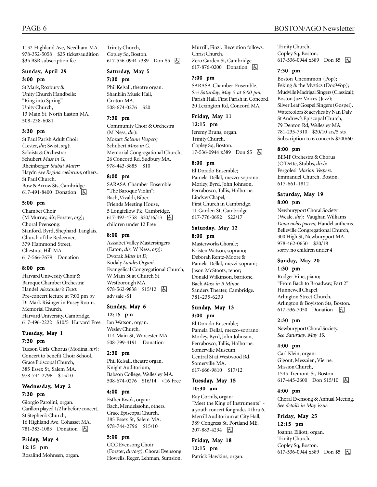1132 Highland Ave, Needham MA. 978-352-5058 \$25 ticket/audition \$35 BSR subscription fee

#### Sunday, April 29 3:00 pm

St Mark, Roxbury & Unity Church Handbells: "Ring into Spring" Unity Church, 13 Main St, North Easton MA. 508-238-6081

### 3:30 pm

St Paul Parish Adult Choir (Lester, *dir*; Swist, *org*); Soloists & Orchestra: Schubert *Mass in G;* Rheinberger *Stabat Mater;* Haydn *Ave Regina coelorum;* others. St Paul Church, Bow & Arrow Sts, Cambridge. 617-491-8400 Donation **A** 

### 5:00 pm

Chamber Choir (M Murray, *dir*; Forster, *org*); Choral Evensong: Stanford, Byrd, Shephard, Langlais. Church of the Redeemer, 379 Hammond Street, Chestnut Hill MA. 617-566-7679 Donation

### 8:00 pm

Harvard University Choir & Baroque Chamber Orchestra: Handel *Alexanderís Feast.* Pre-concert lecture at 7:00 pm by Dr Mark Risinger in Pusey Room. Memorial Church, Harvard University, Cambridge. 617-496-2222 \$10/5 Harvard Free

### Tuesday, May 1 7:30 pm

Tucson Girls' Chorus (Modina, *dir*): Concert to benefit Choir School. Grace Episcopal Church, 385 Essex St, Salem MA. 978-744-2796 \$15/10

## Wednesday, May 2 7:30 pm

Giorgio Parolini, organ. Carillon played 1/2 hr before concert. St Stephenís Church, 16 Highland Ave, Cohasset MA. 781-383-1083 Donation **b** 

Friday, May 4 12:15 pm Rosalind Mohnsen, organ. Trinity Church, Copley Sq, Boston. 617-536-0944 x389 Don \$5 h

## Saturday, May 5

7:30 pm

Phil Kelsall, theatre organ. Shanklin Music Hall, Groton MA. 508-674-0276 \$20

### 7:30 pm

Community Choir & Orchestra (M Ness, *dir*): Mozart *Solemn Vespers;* Schubert *Mass in G.* Memorial Congregational Church, 26 Concord Rd, Sudbury MA. 978-443-3885 \$10

### 8:00 pm

SARASA Chamber Ensemble "The Baroque Violin": Bach, Vivaldi, Biber. Friends Meeting House, 5 Longfellow Pk, Cambridge. 617-492-4758 \$20/16/13 因 children under 12 Free

#### 8:00 pm

Asssabet Valley Mastersingers (Eaton, *dir*; W Ness, *org*): Dvorak *Mass in D;* Kodaly *Laudes Organi.* Evangelical Congregational Church, W Main St at Church St, Westborough MA. 978-562-9838 \$15/12 4 adv sale -\$1

### Sunday, May 6

12:15 pm

Ian Watson, organ. Wesley Church, 114 Main St, Worcester MA. 508-799-4191 Donation

### 2:30 pm

Phil Kelsall, theatre organ. Knight Auditorium, Babson College, Wellesley MA. 508-674-0276 \$16/14 <16 Free

### 4:00 pm

Esther Kwok, organ: Bach, Mendelssohn, others. Grace Episcopal Church, 385 Essex St, Salem MA. 978-744-2796 \$15/10

## 5:00 pm

CCC Evensong Choir (Forster, *dir/org*): Choral Evensong: Howells, Reger, Lehman, Sumsion,

Murrill, Finzi. Reception follows. Christ Church, Zero Garden St, Cambridge. 617-876-0200 Donation  $\Box$ 

### 7:00 pm

SARASA Chamber Ensemble. *See Saturday, May 5 at 8:00 pm.* Parish Hall, First Parish in Concord, 20 Lexington Rd, Concord MA.

### Friday, May 11 12:15 pm

Jeremy Bruns, organ. Trinity Church, Copley Sq, Boston. 17-536-0944 x389 Don \$5 &

### 8:00 pm

El Dorado Ensemble; Pamela Dellal, mezzo-soprano: Morley, Byrd, John Johnson, Ferrabosco, Tallis, Holborne. Lindsay Chapel, First Church in Cambridge, 11 Garden St, Cambridge. 617-776-0692 \$22/17

### Saturday, May 12 8:00 pm

Masterworks Chorale; Kristen Watson, soprano; Deborah Rentz-Moore & Pamela Dellal, mezzi-soprani; Jason McStoots, tenor; Donald Wilkinson, baritone. Bach *Mass in B Minor.* Sanders Theater, Cambridge. 781-235-6239

### Sunday, May 13 3:00 pm

El Dorado Ensemble; Pamela Dellal, mezzo-soprano: Morley, Byrd, John Johnson, Ferrabosco, Tallis, Holborne. Somerville Museum, Central St at Westwood Rd, Somerville MA. 617-666-9810 \$17/12

### Tuesday, May 15 10:30 am

Ray Cornils, organ: "Meet the King of Instruments" a youth concert for grades 4 thru 6. Merrill Auditorium at City Hall, 389 Congress St, Portland ME. 207-883-4234 | 图

Friday, May 18 12:15 pm Patrick Hawkins, organ. Trinity Church, Copley Sq, Boston. 617-536-0944 x389 Don \$5 固

### 7:30 pm

Boston Uncommon (Pop); Peking & the Mystics (DooWop); Mudville Madrigal Singers (Classical); Boston Jazz Voices (Jazz); Silver Leaf Gospel Singers (Gospel). Watercolors & acrylics by Nan Daly. St Andrew's Episcopal Church, 79 Denton Rd, Wellesley MA. 781-235-7310 \$20/10 srs/5 sts Subscription to 6 concerts \$200/60

### 8:00 pm

BEMF Orchestra & Chorus (OíDette, Stubbs, *dirs*): Pergolesi *Marian Vespers.* Emmanuel Church, Boston. 617-661-1812

### Saturday, May 19 8:00 pm

Newburyport Choral Society (Weale, *dir*): Vaughan Williams *Dona nobis pacem;* Handel anthems. Belleville Congregational Church, 300 High St, Newburyport MA. 978-462-0650 \$20/18 sorry, no children under 4

### Sunday, May 20 1:30 pm

Rodger Vine, piano; "From Bach to Broadway, Part 2" Hunnewell Chapel, Arlington Street Church, Arlington & Boylston Sts, Boston. 617-536-7050 Donation **b** 

### 2:30 pm

Newburyport Choral Society. *See Saturday, May 19.*

### 4:00 pm

Carl Klein, organ: Gigout, Messaien, Vierne. Mission Church, 1545 Tremont St, Boston. 617-445-2600 Don \$15/10 | A

### 4:00 pm

Choral Evensong & Annual Meeting. *See details in May issue.*

## Friday, May 25 12:15 pm

Joanna Elliott, organ. Trinity Church, Copley Sq, Boston. 617-536-0944 x389 Don \$5 **b**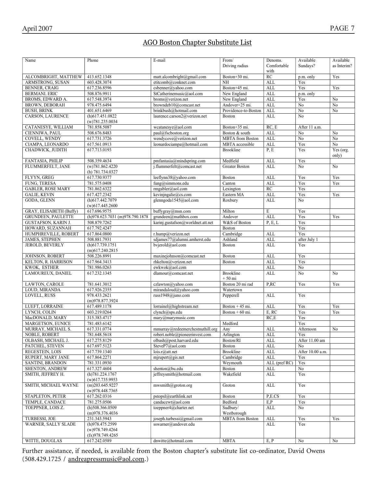## <u>AGO Boston Chapter Substitute List</u>

| Name                                       | Phone                           | E-mail                                     | From/                                | Denoms.                    | Available             | Available      |
|--------------------------------------------|---------------------------------|--------------------------------------------|--------------------------------------|----------------------------|-----------------------|----------------|
|                                            |                                 |                                            | Driving radius                       | Comfortable                | Sundays?              | as Interim?    |
|                                            |                                 |                                            |                                      | with                       |                       |                |
| ALCOMBRIGHT, MATTHEW                       | 413.652.1348                    | matt.alcombright@gmail.com                 | Boston+30 mi.                        | RC                         | p.m. only             | Yes            |
| ARMSTRONG, SUSAN                           | 603.428.3074                    | etitcomb@conknet.com                       | <b>NH</b>                            | <b>ALL</b>                 | Yes                   |                |
| <b>BENNER, CRAIG</b>                       | 617.236.8596                    | csbenner@yahoo.com                         | Boston+45 mi.                        | <b>ALL</b>                 | Yes                   | Yes            |
| <b>BERMANI. ERIC</b>                       | 508.876.9911                    | StCatherinemusic@aol.com                   | New England                          | <b>ALL</b>                 | p.m. only             |                |
| BROMS, EDWARD A.                           | 617.548.3974                    | broms@verizon.net                          | New England                          | <b>ALL</b>                 | Yes                   | No             |
| <b>BROWN, DEBORAH</b>                      | 978.475.6494                    | browndeb10@comcast.net                     | Andover+25 mi.                       | ALL                        | No                    | No             |
| <b>BUSH, BRINK</b>                         | 401.651.6469                    | brinkbush@hotmail.com                      | Providence-to-Boston                 | ALL                        | $\overline{No}$       | No             |
| CARSON, LAURENCE                           | $(h)$ 617.451.0822              | laurence.carson2@verizon.net               | <b>Boston</b>                        | <b>ALL</b>                 | N <sub>o</sub>        |                |
|                                            | (w)781.235.0034                 |                                            |                                      |                            |                       |                |
| CATANESYE, WILLIAM                         | 781.858.5087                    | wcatanesye@aol.com                         | Boston+35 mi.                        | RC, E                      | After 11 a.m.         |                |
| CIENNIWA, PAUL                             | 508.676.8483                    | paul@fscboston.org                         | Boston & south                       | <b>ALL</b>                 | N <sub>o</sub>        | No             |
| COVELL, WENDY                              | 617.731.3726                    | wendycove@verizon.net                      | <b>MBTA</b> from Boston              | <b>ALL</b>                 | No                    | No             |
| CIAMPA, LEONARDO                           | 617.561.0913                    | leonardociampa@hotmail.com                 | <b>MBTA</b> accessible               | <b>ALL</b>                 | Yes                   | No             |
| CHADWICK, JUDITH                           | 617.713.0193                    |                                            | <b>Brookline</b>                     | P, E                       | Yes                   | Yes (org.      |
|                                            |                                 |                                            |                                      |                            |                       | only)          |
| FANTASIA, PHILIP                           | 508.359.4634                    | pmfantasia@mindspring.com                  | Medfield                             | ALL                        | Yes                   |                |
| FLUMMERFELT, JANE                          | (w)781.862.4220                 | j.flummerfelt@comcast.net                  | Greater Boston                       | <b>ALL</b>                 | N <sub>o</sub>        | No             |
|                                            | (h) $781.734.0327$              |                                            |                                      |                            |                       |                |
| FLYYN, GREG                                | 617.730.9377                    | leeflynn38@yahoo.com                       | <b>Boston</b>                        | <b>ALL</b>                 | Yes                   | Yes            |
| FUNG, TERESA                               | 781.575.0408                    | fung@simmons.edu                           | Canton                               | <b>ALL</b>                 | Yes                   | Yes            |
| <b>GABLER, ROSE MARY</b>                   | 781.862.6322                    | rmgabler@aol.com                           | Lexington                            | RC                         | Yes                   |                |
| <b>GALIE, KEVIN</b>                        | 617.427.2342                    | keviningalie@cs.com                        | Eastern MA                           | ALL                        | Yes                   | Yes            |
| GODA, GLENN                                | (h)617.442.7079                 | glenngoda1545@aol.com                      | Roxbury                              | <b>ALL</b>                 | N <sub>0</sub>        |                |
|                                            | $(w)$ 617.445.2600              |                                            |                                      |                            |                       |                |
| GRAY, ELISABETH (Buffy)                    | 617.696.9575                    | buffygray@msn.com                          | Milton                               | E                          | Yes                   |                |
| <b>GRUNDEEN, PAULETTE</b>                  | (h)978.623.7031 (m)978.790.1878 | grundeen@mathbox.com                       | Andover                              | <b>ALL</b>                 | Yes                   | Yes            |
| <b>GUSTAFSON, KARIN J.</b>                 | 508.879.7262                    | karinj.gustafson@worldnet.att.net          | W&S of Boston                        | P, E, L                    | Yes                   |                |
| HOWARD, SUZANNAH                           | 617.792.4247                    |                                            | <b>Boston</b>                        |                            | Yes                   |                |
| HUMPHREVILLE, ROBERT                       | 617.864.0800                    | r.hump@verizon.net                         | Cambridge                            | ALL                        | Yes                   |                |
| JAMES, STEPHEN                             | 508.881.7931                    | sdjames77@alumni.amherst.edu               | Ashland                              | <b>ALL</b>                 | after July 1          |                |
| JEROLD, BEVERLY                            | $(h)$ 617.739.1751              | bvjerold@aol.com                           | <b>Boston</b>                        | <b>ALL</b>                 | Yes                   |                |
|                                            | $(m)$ 617.240.2815              |                                            |                                      |                            |                       |                |
| JOHNSON, ROBERT                            | 508.226.8991                    | maxinejohnson@comcast.net                  | <b>Boston</b>                        | ALL                        | Yes                   |                |
| KELTON, R. HARRISON                        | 617.964.3413                    | rhkelton@verizon.net                       | Boston                               | <b>ALL</b>                 | Yes                   |                |
| KWOK, ESTHER                               | 781.986.0263                    | ewkwok@aol.com                             |                                      | <b>ALL</b>                 | No                    |                |
| LAMOUREUX, DANIEL                          | 617.232.1345                    | dlamour@comcast.net                        | <b>Brookline</b>                     | <b>ALL</b>                 | N <sub>o</sub>        | N <sub>0</sub> |
|                                            |                                 |                                            | $+50$ mi                             |                            |                       |                |
| LAWTON, CAROLE                             | 781.641.3012                    | czlawton@yahoo.com                         | Boston 20 mi rad                     | P,RC                       | Yes                   | Yes            |
| LOUD, MIRANDA                              | 617.926.2355                    | mirandaloud@yahoo.com<br>russ1948@juno.com | Watertown                            |                            |                       |                |
| LOVELL, RUSS                               | 978.433.2621                    |                                            | Pepperell                            | <b>ALL</b>                 | Yes                   |                |
| LUEFT, LORRAINE                            | (m)978.877.3924<br>617.489.1178 | lorrainel@highstream.net                   |                                      | <b>ALL</b>                 | Yes                   | Yes            |
| LYNCH, COLIN                               |                                 | clynch@sps.edu                             | Boston + 45 mi.<br>Boston + $60$ mi. | E, RC                      | Yes                   |                |
| MacDONALD, MARY                            | 603.219.0264<br>315.383.4717    |                                            |                                      | RC,E                       | Yes                   | Yes            |
| <b>MARGETSON, EUNICE</b>                   |                                 | mary@marymusic.com                         |                                      |                            |                       |                |
| MURRAY, MICHAEL S.                         | 781.483.6142<br>617.331.0774    | $mmurray@redeemerchest\\tthill.org$        | Medford<br>Any                       | <b>ALL</b>                 | Yes<br>Afternoon      |                |
|                                            |                                 |                                            |                                      |                            |                       | No             |
| <b>NOBLE, ROBERT</b><br>OLBASH, MICHAEL J. | 781.648.5618<br>617.275.8129    | robert.noble@pioneerinvest.com             | Arlington                            | $\mbox{ALL}$<br><b>ALL</b> | Yes<br>After 11.00 am |                |
|                                            |                                 | olbash@post.harvard.edu                    | Boston/RI                            |                            |                       |                |
| PATCHEL, STEVEN                            | 617.697.5123                    | SteveP7@aol.com                            | <b>Boston</b><br><b>Brookline</b>    | <b>ALL</b>                 | N <sub>0</sub>        |                |
| REGESTEIN, LOIS                            | 617.739.1340                    | lois.r@att.net                             |                                      | ALL                        | After 10.00 a.m.      |                |
| RUPERT, MARY JANE                          | 617.864.2271                    | mjrupert@gis.net                           | Cambridge                            | <b>ALL</b>                 | Yes                   |                |
| SANTINI, BRANDON                           | 781.331.0930                    |                                            | Weymouth                             | ALL (pref RC)              | Yes                   |                |
| SHENTON, ANDREW<br>SMITH, JEFFREY H.       | 617.327.4604<br>(h)781.224.1767 | shenton@bu.edu<br>jeffreysmith@hotmail.com | Boston<br>Wakefield                  | ALL                        | No                    |                |
|                                            | $(w)$ 617.735.9953              |                                            |                                      | ALL                        | Yes                   |                |
| SMITH, MICHAEL WAYNE                       | $(m)$ 203.645.9227              | mwsmith@groton.org                         | Groton                               | ALL                        | Yes                   |                |
|                                            | $(w)$ 978.448.7365              |                                            |                                      |                            |                       |                |
| STAPLETON, PETER                           | 617.262.0316                    | pstopsl@earthlink.net                      | <b>Boston</b>                        | P.E.CS                     | Yes                   |                |
| TEMPLE, CANDACE                            | 781.275.0506                    | candacewt@aol.com                          | Bedford                              | E.P                        | Yes                   |                |
| TOEPPNER, LOIS Z.                          | $(h)$ 508.366.0509              | toeppner4@charter.net                      | Sudbury/                             | ALL                        | No                    |                |
|                                            | (m)978.376.4036                 |                                            | Westborough                          |                            |                       |                |
| TURBESSI, JOE                              | 231.343.5943                    | joseph.turbessi@gmail.com                  | <b>MBTA</b> from Boston              | <b>ALL</b>                 | Yes                   | Yes            |
| WARNER, SALLY SLADE                        | (h)978.475.2599                 | sswarner@andover.edu                       |                                      | ALL                        | Yes                   |                |
|                                            | (w)978.749.4264                 |                                            |                                      |                            |                       |                |
|                                            | (fx)978.749.4265                |                                            |                                      |                            |                       |                |
| WITTE, DOUGLAS                             | 617.242.0589                    | dnwitte@hotmail.com                        | <b>MBTA</b>                          | E, P                       | No                    | No             |

Further assistance, if needed, is available from the Boston chapter's substitute list co-ordinator, David Owens (508.429.1725 / andreapressmusic@aol.com.)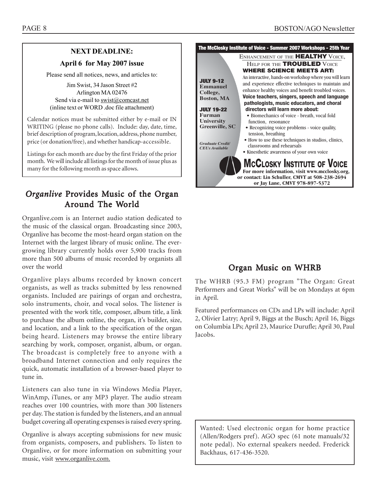## **NEXT DEADLINE:**

## **April 6 for May 2007 issue**

Please send all notices, news, and articles to:

Jim Swist, 34 Jason Street #2 Arlington MA 02476 Send via e-mail to swist@comcast.net (inline text or WORD .doc file attachment)

. Calendar notices must be submitted either by e-mail or IN WRITING (please no phone calls). Include: day, date, time, brief description of program, location, address, phone number, price (or donation/free), and whether handicap-accessible.

Listings for each month are due by the first Friday of the prior month. We will include all listings for the month of issue plus as many for the following month as space allows.

# *Organlive* Provides Music of the Organ Around The World

Organlive.com is an Internet audio station dedicated to the music of the classical organ. Broadcasting since 2003, Organlive has become the most-heard organ station on the Internet with the largest library of music online. The evergrowing library currently holds over 5,900 tracks from more than 500 albums of music recorded by organists all over the world

Organlive plays albums recorded by known concert organists, as well as tracks submitted by less renowned organists. Included are pairings of organ and orchestra, solo instruments, choir, and vocal solos. The listener is presented with the work title, composer, album title, a link to purchase the album online, the organ, it's builder, size, and location, and a link to the specification of the organ being heard. Listeners may browse the entire library searching by work, composer, organist, album, or organ. The broadcast is completely free to anyone with a broadband Internet connection and only requires the quick, automatic installation of a browser-based player to tune in.

Listeners can also tune in via Windows Media Player, WinAmp, iTunes, or any MP3 player. The audio stream reaches over 100 countries, with more than 300 listeners per day. The station is funded by the listeners, and an annual budget covering all operating expenses is raised every spring.

Organlive is always accepting submissions for new music from organists, composers, and publishers. To listen to Organlive, or for more information on submitting your music, visit www.organlive.com.



# Organ Music on WHRB

The WHRB (95.3 FM) program "The Organ: Great Performers and Great Works" will be on Mondays at 6pm in April.

Featured performances on CDs and LPs will include: April 2, Olivier Latry; April 9, Biggs at the Busch; April 16, Biggs on Columbia LPs; April 23, Maurice Durufle; April 30, Paul Jacobs.

Wanted: Used electronic organ for home practice (Allen/Rodgers pref). AGO spec (61 note manuals/32 note pedal). No external speakers needed. Frederick Backhaus, 617-436-3520.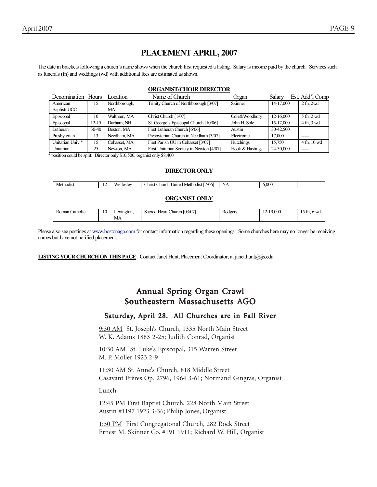15 Northborough, MA

| 11<br>. .<br><b>Hesley</b><br>:Od1S<br>MAT<br>. | /06<br>:hurch<br>Initer<br>Methodist<br>hrist | N<br>- 14<br>the contract of the contract of the contract of | $\alpha$<br>v.VVV | ----- |
|-------------------------------------------------|-----------------------------------------------|--------------------------------------------------------------|-------------------|-------|

### **ORGANIST ONLY**

| $\cdot$<br><b>Roman</b><br>Catholic | 10 | Lexington. | Church [03/07]<br>Sacred<br>Heart | Rodgers | .000<br>$\sim$<br> | 6 WG<br>$\sim$ m.<br><b>I</b> J |
|-------------------------------------|----|------------|-----------------------------------|---------|--------------------|---------------------------------|
|                                     |    | МA         |                                   |         |                    |                                 |

Please also see postings at www.bostonago.com for contact information regarding these openings. Some churches here may no longer be receiving names but have not notified placement.

**LISTING YOUR CHURCH ON THIS PAGE** Contact Janet Hunt, Placement Coordinator, at janet.hunt@sjs.edu.

# Annual Spring Organ Crawl Annual Spring Organ Crawl Southeastern Massachusetts AGO

## Saturday, April 28. All Churches are in Fall River

9:30 AM St. Joseph's Church, 1335 North Main Street W. K. Adams 1883 2-25; Judith Conrad, Organist

10:30 AM St. Luke's Episcopal, 315 Warren Street M. P. Moller 1923 2-9

11:30 AM St. Anneís Church, 818 Middle Street Casavant Frères Op. 2796, 1964 3-61; Normand Gingras, Organist

Lunch

12:45 PM First Baptist Church, 228 North Main Street Austin #1197 1923 3-36; Philip Jones, Organist

1:30 PM First Congregatonal Church, 282 Rock Street Ernest M. Skinner Co. #191 1911; Richard W. Hill, Organist

American Baptist/ UCC

The date in brackets following a church's name shows when the church first requested a listing. Salary is income paid by the church. Services such as funerals (fn) and weddings (wd) with additional fees are estimated as shown.

### **ORGANIST/CHOIR DIRECTOR** Denomination Hours Location Name of Church Organ Salary Est. Addíl Comp

Episcopal 10 Waltham, MA Christ Church [1/07] Cole&Woodbury 12-16,000 5 fn, 2 wd Episcopal 12-15 Durham, NH St. George's Episcopal Church [10/06] John H. Sole 15-17,000 4 fn, 3 wd

Lutheran 30-40 Boston, MA First Lutheran Church [6/06] Austin 30-42,500

Trinity Church of Northborough [3/07] | Skinner 14-17,000 | 2 fn, 2wd

| Presbyterian     | 13                                                                                             | Needham, MA  | Presbyterian Church in Needham [3/07]    | Electronic       | 17.000    |                 |  |  |  |  |
|------------------|------------------------------------------------------------------------------------------------|--------------|------------------------------------------|------------------|-----------|-----------------|--|--|--|--|
| Unitarian Univ.* | 15                                                                                             | Cohasset, MA | First Parish UU in Cohasset [3/07]       | <b>Hutchings</b> | 15.750    | $4$ fn. $10$ wd |  |  |  |  |
| Unitarian        | 25                                                                                             | Newton, MA   | First Unitarian Society in Newton [4/07] | Hook & Hastings  | 24-30,000 | -----           |  |  |  |  |
|                  | position could be split. Director only \$10,500; organist only \$8,400<br><b>DIRECTOR ONLY</b> |              |                                          |                  |           |                 |  |  |  |  |